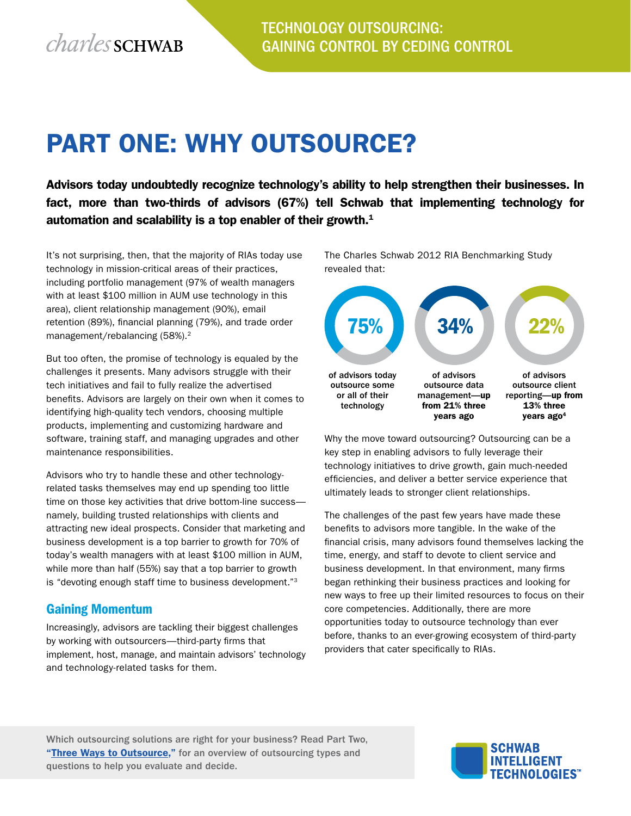# Part One: Why Outsource?

Advisors today undoubtedly recognize technology's ability to help strengthen their businesses. In fact, more than two-thirds of advisors (67%) tell Schwab that implementing technology for automation and scalability is a top enabler of their growth. $<sup>1</sup>$ </sup>

It's not surprising, then, that the majority of RIAs today use technology in mission-critical areas of their practices, including portfolio management (97% of wealth managers with at least \$100 million in AUM use technology in this area), client relationship management (90%), email retention (89%), financial planning (79%), and trade order management/rebalancing (58%).<sup>2</sup>

But too often, the promise of technology is equaled by the challenges it presents. Many advisors struggle with their tech initiatives and fail to fully realize the advertised benefits. Advisors are largely on their own when it comes to identifying high-quality tech vendors, choosing multiple products, implementing and customizing hardware and software, training staff, and managing upgrades and other maintenance responsibilities.

Advisors who try to handle these and other technologyrelated tasks themselves may end up spending too little time on those key activities that drive bottom-line success namely, building trusted relationships with clients and attracting new ideal prospects. Consider that marketing and business development is a top barrier to growth for 70% of today's wealth managers with at least \$100 million in AUM, while more than half (55%) say that a top barrier to growth is "devoting enough staff time to business development."3

#### Gaining Momentum

Increasingly, advisors are tackling their biggest challenges by working with outsourcers—third-party firms that implement, host, manage, and maintain advisors' technology and technology-related tasks for them.

The Charles Schwab 2012 RIA Benchmarking Study revealed that:



Why the move toward outsourcing? Outsourcing can be a key step in enabling advisors to fully leverage their technology initiatives to drive growth, gain much-needed efficiencies, and deliver a better service experience that ultimately leads to stronger client relationships.

The challenges of the past few years have made these benefits to advisors more tangible. In the wake of the financial crisis, many advisors found themselves lacking the time, energy, and staff to devote to client service and business development. In that environment, many firms began rethinking their business practices and looking for new ways to free up their limited resources to focus on their core competencies. Additionally, there are more opportunities today to outsource technology than ever before, thanks to an ever-growing ecosystem of third-party providers that cater specifically to RIAs.

Which outsourcing solutions are right for your business? Read Part Two, "Three Ways to Outsource," for an overview of outsourcing types and questions to help you evaluate and decide.

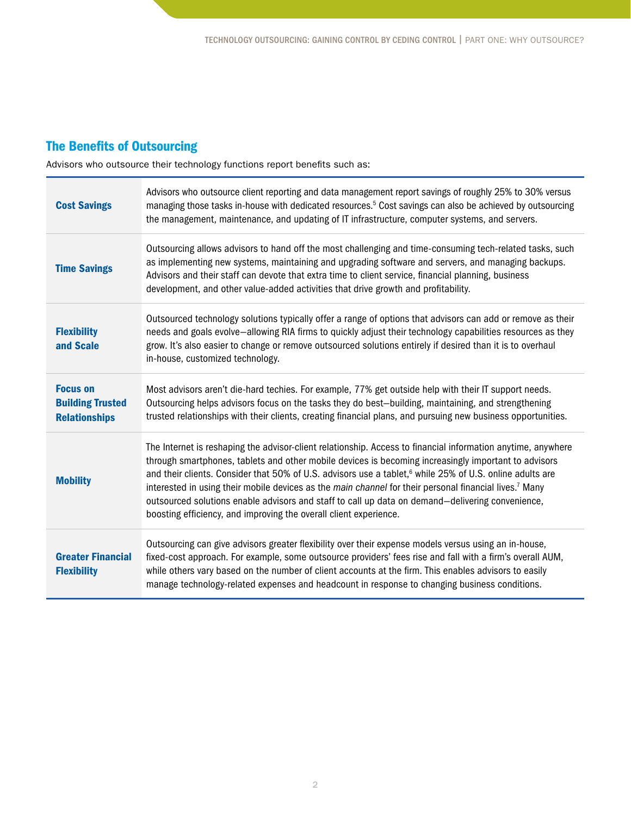### The Benefits of Outsourcing

Advisors who outsource their technology functions report benefits such as:

| <b>Cost Savings</b>                                                | Advisors who outsource client reporting and data management report savings of roughly 25% to 30% versus<br>managing those tasks in-house with dedicated resources. <sup>5</sup> Cost savings can also be achieved by outsourcing<br>the management, maintenance, and updating of IT infrastructure, computer systems, and servers.                                                                                                                                                                                                                                                                                                          |
|--------------------------------------------------------------------|---------------------------------------------------------------------------------------------------------------------------------------------------------------------------------------------------------------------------------------------------------------------------------------------------------------------------------------------------------------------------------------------------------------------------------------------------------------------------------------------------------------------------------------------------------------------------------------------------------------------------------------------|
| <b>Time Savings</b>                                                | Outsourcing allows advisors to hand off the most challenging and time-consuming tech-related tasks, such<br>as implementing new systems, maintaining and upgrading software and servers, and managing backups.<br>Advisors and their staff can devote that extra time to client service, financial planning, business<br>development, and other value-added activities that drive growth and profitability.                                                                                                                                                                                                                                 |
| <b>Flexibility</b><br>and Scale                                    | Outsourced technology solutions typically offer a range of options that advisors can add or remove as their<br>needs and goals evolve-allowing RIA firms to quickly adjust their technology capabilities resources as they<br>grow. It's also easier to change or remove outsourced solutions entirely if desired than it is to overhaul<br>in-house, customized technology.                                                                                                                                                                                                                                                                |
| <b>Focus on</b><br><b>Building Trusted</b><br><b>Relationships</b> | Most advisors aren't die-hard techies. For example, 77% get outside help with their IT support needs.<br>Outsourcing helps advisors focus on the tasks they do best-building, maintaining, and strengthening<br>trusted relationships with their clients, creating financial plans, and pursuing new business opportunities.                                                                                                                                                                                                                                                                                                                |
| <b>Mobility</b>                                                    | The Internet is reshaping the advisor-client relationship. Access to financial information anytime, anywhere<br>through smartphones, tablets and other mobile devices is becoming increasingly important to advisors<br>and their clients. Consider that 50% of U.S. advisors use a tablet, <sup>6</sup> while 25% of U.S. online adults are<br>interested in using their mobile devices as the main channel for their personal financial lives. <sup>7</sup> Many<br>outsourced solutions enable advisors and staff to call up data on demand-delivering convenience,<br>boosting efficiency, and improving the overall client experience. |
| <b>Greater Financial</b><br><b>Flexibility</b>                     | Outsourcing can give advisors greater flexibility over their expense models versus using an in-house,<br>fixed-cost approach. For example, some outsource providers' fees rise and fall with a firm's overall AUM,<br>while others vary based on the number of client accounts at the firm. This enables advisors to easily<br>manage technology-related expenses and headcount in response to changing business conditions.                                                                                                                                                                                                                |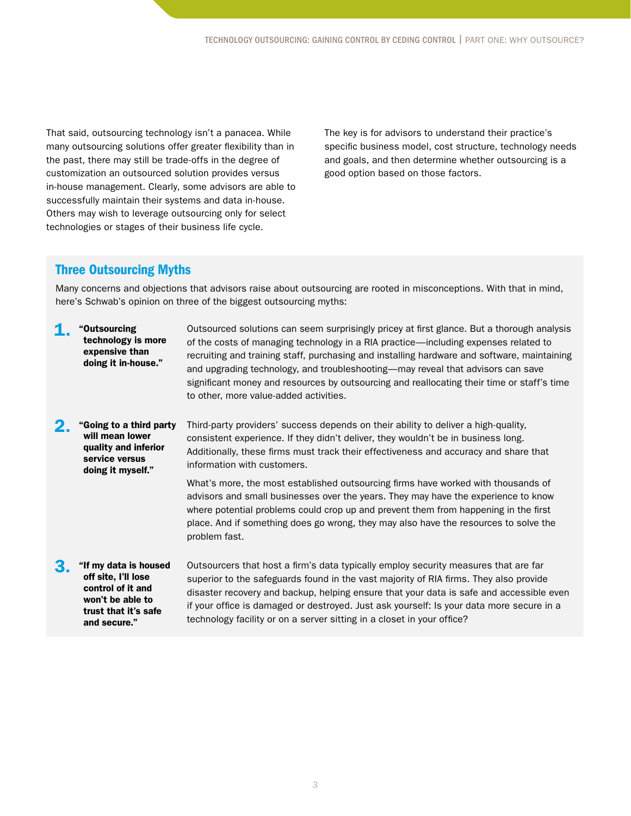That said, outsourcing technology isn't a panacea. While many outsourcing solutions offer greater flexibility than in the past, there may still be trade-offs in the degree of customization an outsourced solution provides versus in-house management. Clearly, some advisors are able to successfully maintain their systems and data in-house. Others may wish to leverage outsourcing only for select technologies or stages of their business life cycle.

The key is for advisors to understand their practice's specific business model, cost structure, technology needs and goals, and then determine whether outsourcing is a good option based on those factors.

#### Three Outsourcing Myths

Many concerns and objections that advisors raise about outsourcing are rooted in misconceptions. With that in mind, here's Schwab's opinion on three of the biggest outsourcing myths:

- 1. "Outsourcing technology is more expensive than doing it in-house." Outsourced solutions can seem surprisingly pricey at first glance. But a thorough analysis of the costs of managing technology in a RIA practice—including expenses related to recruiting and training staff, purchasing and installing hardware and software, maintaining and upgrading technology, and troubleshooting—may reveal that advisors can save significant money and resources by outsourcing and reallocating their time or staff's time to other, more value-added activities. 2. "Going to a third party will mean lower quality and inferior service versus doing it myself." Third-party providers' success depends on their ability to deliver a high-quality, consistent experience. If they didn't deliver, they wouldn't be in business long. Additionally, these firms must track their effectiveness and accuracy and share that information with customers. What's more, the most established outsourcing firms have worked with thousands of advisors and small businesses over the years. They may have the experience to know where potential problems could crop up and prevent them from happening in the first place. And if something does go wrong, they may also have the resources to solve the problem fast. 3. "If my data is housed off site, I'll lose control of it and Outsourcers that host a firm's data typically employ security measures that are far superior to the safeguards found in the vast majority of RIA firms. They also provide disaster recovery and backup, helping ensure that your data is safe and accessible even
	- won't be able to trust that it's safe and secure." if your office is damaged or destroyed. Just ask yourself: Is your data more secure in a technology facility or on a server sitting in a closet in your office?